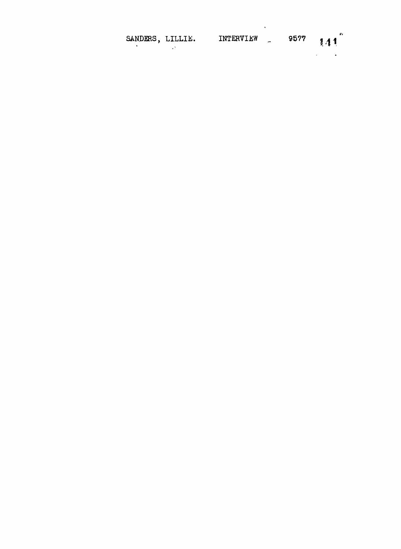| SANDERS, LILLIE. | INTERVIEW | - | 9577 | 11 | Tı |
|------------------|-----------|---|------|----|----|
|                  |           |   |      |    |    |

 $\mathcal{L}^{\text{max}}_{\text{max}}$  , where  $\mathcal{L}^{\text{max}}_{\text{max}}$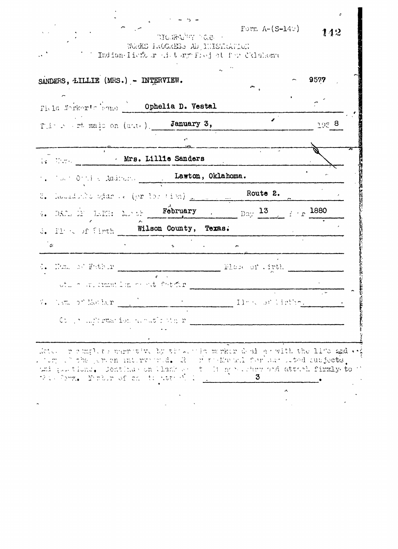| SANDERS, LILLIE (MRS.) - INTERVIEW.                                    |  |                                                             | 9577  |
|------------------------------------------------------------------------|--|-------------------------------------------------------------|-------|
| Field Norkorts home ) Ophelia D. Vestal                                |  |                                                             |       |
| $T(i \rightarrow \text{rt} \text{maj})$ on $(\text{art})$ . January 3, |  |                                                             | 195.8 |
|                                                                        |  |                                                             |       |
| 1. With Lillie Sanders                                                 |  |                                                             |       |
| Lawton, Oklahoma.                                                      |  |                                                             |       |
|                                                                        |  |                                                             |       |
|                                                                        |  | 4. DARR DE LAPH: MR OF February . Day 13 F . r 1880         |       |
| S. Il of firth Wilson County, Texas.                                   |  |                                                             |       |
| ່ຮ                                                                     |  |                                                             |       |
| $G_{\bullet}$ . None of Father $\mathbb{R}^{n}$                        |  | Plase of .irth                                              |       |
| ution are criminate and on the Chinese                                 |  |                                                             |       |
|                                                                        |  | 7. Nome of Mother <u>Communications</u> of lights of lights |       |
| $\mathbb{C}$ , a supported ion alone $\mathbb{C}$ with $x$             |  |                                                             |       |
|                                                                        |  |                                                             |       |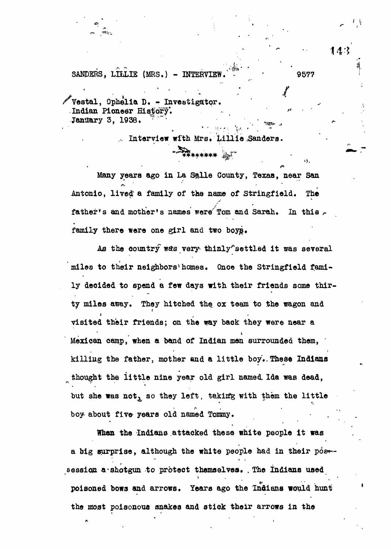SANDERS. LILLIE (MRS.) - INTERVIEW. **WELLERGE 19577** 

**/vestal, Ophelia D. - Investigator. Indian Pioneer History\*.** Jandary 3, 1938.

Interview with Mrs. Lillie Sanders.

<del>ୖ</del>

**Many years ago in La Salle County, Texas, near San Antonio, lived a family of the name of Stringfield. The** father's and mother's names were Tom and Sarah. In this **family there were one girl and two boyg.**

As the country was very thinly settled it was several **miles to their neighbors<sup>1</sup> homes. Once the Stringfield family decided to spend a few days with their friends some thir**ty miles away. They hitched the ox team to the wagon and **visited their friends; on the way back they were near a Mexican camp, when a band of Indian men surrounded them, '** killing the father, mother and a little boy. These Indians **thought the little nine year old girl named. Ida was dead,** but she was not, so they left, taking with them the little boy about five years old named Tommy.

**When the Indians attacked these white people it was** a big surprise, although the white people had in their pos-session a shotgun to protect themselves. The Indians used **poisoned bows and arrows. Years ago the Indians would hunt the most poisonous snakes and stick their arrows in the**

**14-\*'**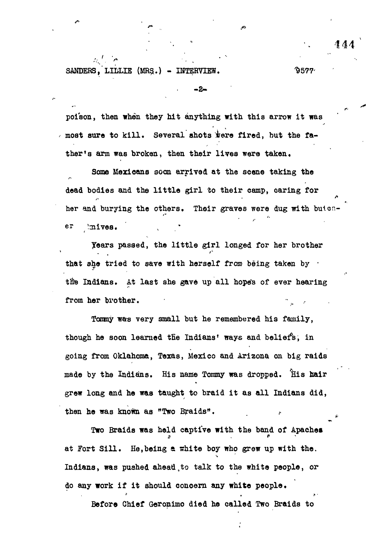SANDERS, LILLIE (MRS.) - INTERVIEW.  $9577'$ 

r. "The contract of the contract of the contract of the contract of the contract of the contract of the contract of the contract of the contract of the contract of the contract of the contract of the contract of the contra

s  $\sim$  14  $444$ 

**poison, then when they hit anything with this arrow it was** I most sure to kill. Several shots were fired, but the fa**ther's arm was broken, then their lives were taken.**

- 2

 $\ddot{\cdot}$ 

**Some Mexicans soon arrived at the scene taking the dead bodies and the little girl to their camp, oaring for** her and burying the others. Their graves were dug with buion**er imives.**

**years passed, the little girl longed for her brother** that she tried to save with herself from being taken by  $\cdot$ the Indians. At last she gave up all hope's of ever hearing from her brother.

**Tommy was very small but he remembered his family,** though he soon learned the Indians' ways and beliefs, in **going from Oklahoma, Texas, Mexico and Arizona on big raids made by the Indians. His name Tommy was dropped. His hair grew long and he was taught to braid it as all Indians did,** then he was known as "Two Braids".

**Two Braids was held captive with the band of Apaches at Fort Sill. He,being e srhite boy who grew up with the.** Indians, was pushed ahead to talk to the white people, or **do any work if it should concern any white people\***

**Before Chief Geronimo died he called Two Braids to**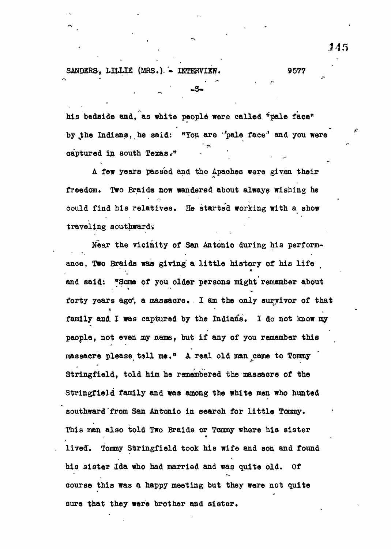SANDERS. LILLIE (MRS.). - INTERVIEW. 9577

**his bodaide and, as white people were called "pale face" by sthe Indiana, he said: "You are 'pale face<sup>1</sup>' and you were aaptured in south Texas." '**

**A few years passed and the Apaches were given their** freedom. Two Braids now wandered about always wishing he **could find his relatives. He started working with a show traveling southward'.**

**Near the vicinity of San Antonio during his performance, Two Braids was giving a little history of his life and said: "Sons of you older persons might remember about** forty years ago<sup>6</sup>, a massacre. I am the only survivor of that **family and I was captured by the Indian's, I do not know my people, not even my name, but if any of you remember this massacre please tell me." A real old man came to Tommy Stringfield, told him he remembered the massacre of the Stringfleld family and was among the white men who hunted southward from San Antonio in search for little Tommy. This man also told Two Braids or Tommy where his sister lived". Tommy Stringfield took his wife and son and found his sister Jda who had married and was quite old. Of course this was a happy meeting but they were not quite sure that they were brother and sister.**

145